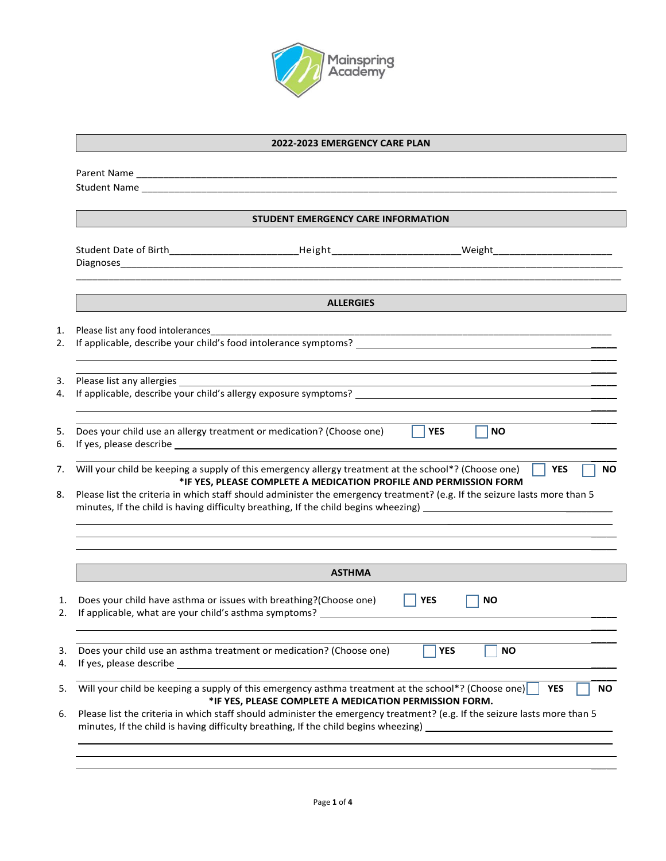

## **2022-2023 EMERGENCY CARE PLAN**

|                                                                      | <b>STUDENT EMERGENCY CARE INFORMATION</b>                                                                                                                                                                                                                                                              |            |                         |
|----------------------------------------------------------------------|--------------------------------------------------------------------------------------------------------------------------------------------------------------------------------------------------------------------------------------------------------------------------------------------------------|------------|-------------------------|
|                                                                      |                                                                                                                                                                                                                                                                                                        |            |                         |
|                                                                      | <b>ALLERGIES</b>                                                                                                                                                                                                                                                                                       |            |                         |
| Please list any food intolerances                                    | If applicable, describe your child's food intolerance symptoms?                                                                                                                                                                                                                                        |            |                         |
| Please list any allergies                                            |                                                                                                                                                                                                                                                                                                        |            |                         |
| Does your child use an allergy treatment or medication? (Choose one) |                                                                                                                                                                                                                                                                                                        | <b>YES</b> | <b>NO</b>               |
|                                                                      |                                                                                                                                                                                                                                                                                                        |            |                         |
|                                                                      | Will your child be keeping a supply of this emergency allergy treatment at the school*? (Choose one)<br>*IF YES, PLEASE COMPLETE A MEDICATION PROFILE AND PERMISSION FORM<br>Please list the criteria in which staff should administer the emergency treatment? (e.g. If the seizure lasts more than 5 |            | <b>YES</b><br><b>NO</b> |
|                                                                      | <b>ASTHMA</b>                                                                                                                                                                                                                                                                                          |            |                         |
| Does your child have asthma or issues with breathing?(Choose one)    | If applicable, what are your child's asthma symptoms? __________________________                                                                                                                                                                                                                       | <b>YES</b> | <b>NO</b>               |
|                                                                      | Does your child use an asthma treatment or medication? (Choose one)                                                                                                                                                                                                                                    | <b>YES</b> | <b>NO</b>               |
|                                                                      | Will your child be keeping a supply of this emergency asthma treatment at the school*? (Choose one)<br>*IF YES, PLEASE COMPLETE A MEDICATION PERMISSION FORM.                                                                                                                                          |            | <b>YES</b><br><b>NO</b> |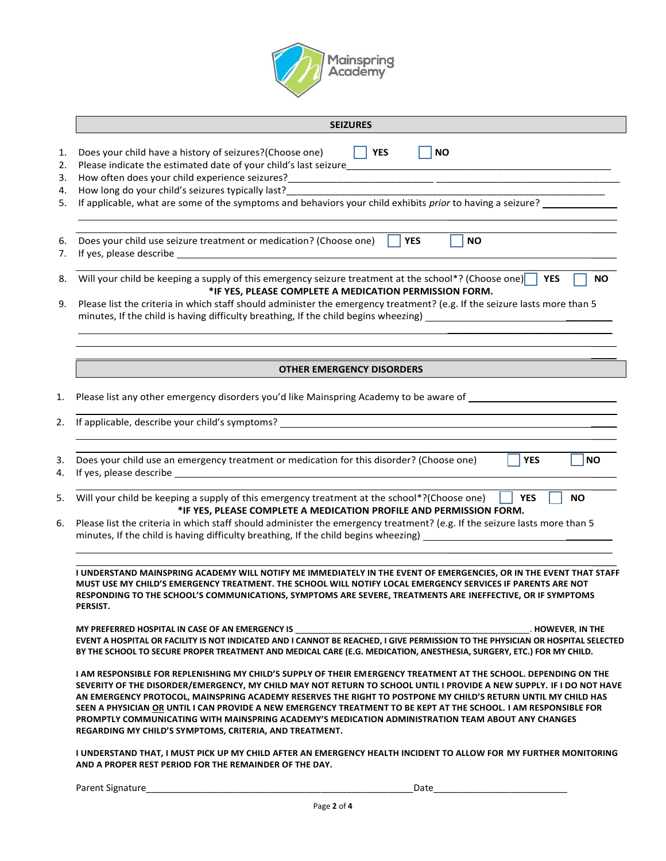

| <b>SEIZURES</b>                                                                                                                                                                                                                                                                                                                                                                                                                                                                                                                                                                                                                               |
|-----------------------------------------------------------------------------------------------------------------------------------------------------------------------------------------------------------------------------------------------------------------------------------------------------------------------------------------------------------------------------------------------------------------------------------------------------------------------------------------------------------------------------------------------------------------------------------------------------------------------------------------------|
| $\vert$ $\vert$ YES<br>Does your child have a history of seizures?(Choose one)<br><b>NO</b>                                                                                                                                                                                                                                                                                                                                                                                                                                                                                                                                                   |
| How long do your child's seizures typically last?                                                                                                                                                                                                                                                                                                                                                                                                                                                                                                                                                                                             |
| If applicable, what are some of the symptoms and behaviors your child exhibits prior to having a seizure?                                                                                                                                                                                                                                                                                                                                                                                                                                                                                                                                     |
| <b>YES</b><br>Does your child use seizure treatment or medication? (Choose one)<br><b>NO</b>                                                                                                                                                                                                                                                                                                                                                                                                                                                                                                                                                  |
| Will your child be keeping a supply of this emergency seizure treatment at the school*? (Choose one)<br><b>YES</b><br><b>NO</b><br>*IF YES, PLEASE COMPLETE A MEDICATION PERMISSION FORM.<br>Please list the criteria in which staff should administer the emergency treatment? (e.g. If the seizure lasts more than 5                                                                                                                                                                                                                                                                                                                        |
|                                                                                                                                                                                                                                                                                                                                                                                                                                                                                                                                                                                                                                               |
| <b>OTHER EMERGENCY DISORDERS</b>                                                                                                                                                                                                                                                                                                                                                                                                                                                                                                                                                                                                              |
| Please list any other emergency disorders you'd like Mainspring Academy to be aware of _______________________                                                                                                                                                                                                                                                                                                                                                                                                                                                                                                                                |
|                                                                                                                                                                                                                                                                                                                                                                                                                                                                                                                                                                                                                                               |
| Does your child use an emergency treatment or medication for this disorder? (Choose one)<br><b>YES</b><br><b>NO</b>                                                                                                                                                                                                                                                                                                                                                                                                                                                                                                                           |
| Will your child be keeping a supply of this emergency treatment at the school*?(Choose one)<br><b>YES</b><br><b>NO</b><br>*IF YES, PLEASE COMPLETE A MEDICATION PROFILE AND PERMISSION FORM.                                                                                                                                                                                                                                                                                                                                                                                                                                                  |
| Please list the criteria in which staff should administer the emergency treatment? (e.g. If the seizure lasts more than 5                                                                                                                                                                                                                                                                                                                                                                                                                                                                                                                     |
| I UNDERSTAND MAINSPRING ACADEMY WILL NOTIFY ME IMMEDIATELY IN THE EVENT OF EMERGENCIES. OR IN THE EVENT THAT STAFF<br>MUST USE MY CHILD'S EMERGENCY TREATMENT. THE SCHOOL WILL NOTIFY LOCAL EMERGENCY SERVICES IF PARENTS ARE NOT<br>RESPONDING TO THE SCHOOL'S COMMUNICATIONS, SYMPTOMS ARE SEVERE, TREATMENTS ARE INEFFECTIVE, OR IF SYMPTOMS<br>PERSIST.                                                                                                                                                                                                                                                                                   |
| MY PREFERRED HOSPITAL IN CASE OF AN EMERGENCY IS<br>. HOWEVER, IN THE<br>EVENT A HOSPITAL OR FACILITY IS NOT INDICATED AND I CANNOT BE REACHED, I GIVE PERMISSION TO THE PHYSICIAN OR HOSPITAL SELECTED<br>BY THE SCHOOL TO SECURE PROPER TREATMENT AND MEDICAL CARE (E.G. MEDICATION, ANESTHESIA, SURGERY, ETC.) FOR MY CHILD.                                                                                                                                                                                                                                                                                                               |
| I AM RESPONSIBLE FOR REPLENISHING MY CHILD'S SUPPLY OF THEIR EMERGENCY TREATMENT AT THE SCHOOL. DEPENDING ON THE<br>SEVERITY OF THE DISORDER/EMERGENCY, MY CHILD MAY NOT RETURN TO SCHOOL UNTIL I PROVIDE A NEW SUPPLY. IF I DO NOT HAVE<br>AN EMERGENCY PROTOCOL, MAINSPRING ACADEMY RESERVES THE RIGHT TO POSTPONE MY CHILD'S RETURN UNTIL MY CHILD HAS<br>SEEN A PHYSICIAN OR UNTIL I CAN PROVIDE A NEW EMERGENCY TREATMENT TO BE KEPT AT THE SCHOOL. I AM RESPONSIBLE FOR<br>PROMPTLY COMMUNICATING WITH MAINSPRING ACADEMY'S MEDICATION ADMINISTRATION TEAM ABOUT ANY CHANGES<br>REGARDING MY CHILD'S SYMPTOMS, CRITERIA, AND TREATMENT. |
| I UNDERSTAND THAT, I MUST PICK UP MY CHILD AFTER AN EMERGENCY HEALTH INCIDENT TO ALLOW FOR MY FURTHER MONITORING<br>AND A PROPER REST PERIOD FOR THE REMAINDER OF THE DAY.                                                                                                                                                                                                                                                                                                                                                                                                                                                                    |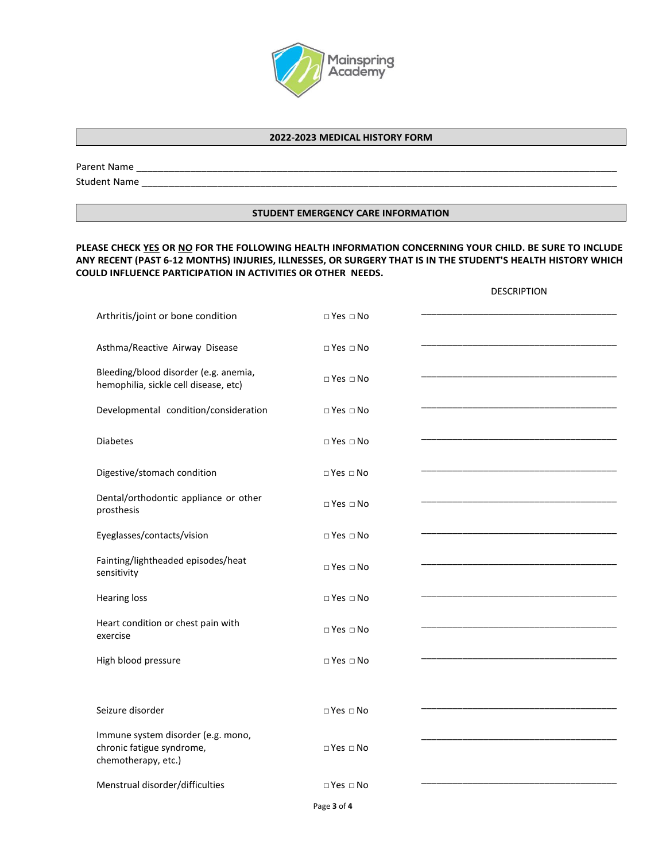

## **2022-2023 MEDICAL HISTORY FORM**

Parent Name \_\_\_\_\_\_\_\_\_\_\_\_\_\_\_\_\_\_\_\_\_\_\_\_\_\_\_\_\_\_\_\_\_\_\_\_\_\_\_\_\_\_\_\_\_\_\_\_\_\_\_\_\_\_\_\_\_\_\_\_\_\_\_\_\_\_\_\_\_\_\_\_\_\_\_\_\_\_\_\_\_\_\_\_\_\_\_\_\_

Student Name \_\_\_\_\_\_\_\_\_\_\_\_\_\_\_\_\_\_\_\_\_\_\_\_\_\_\_\_\_\_\_\_\_\_\_\_\_\_\_\_\_\_\_\_\_\_\_\_\_\_\_\_\_\_\_\_\_\_\_\_\_\_\_\_\_\_\_\_\_\_\_\_\_\_\_\_\_\_\_\_\_\_\_\_\_\_\_\_

## **STUDENT EMERGENCY CARE INFORMATION**

## **PLEASE CHECK YES OR NO FOR THE FOLLOWING HEALTH INFORMATION CONCERNING YOUR CHILD. BE SURE TO INCLUDE ANY RECENT (PAST 6-12 MONTHS) INJURIES, ILLNESSES, OR SURGERY THAT IS IN THE STUDENT'S HEALTH HISTORY WHICH COULD INFLUENCE PARTICIPATION IN ACTIVITIES OR OTHER NEEDS.**

|                                                                                        |                      | <b>DESCRIPTION</b> |
|----------------------------------------------------------------------------------------|----------------------|--------------------|
| Arthritis/joint or bone condition                                                      | $\Box$ Yes $\Box$ No |                    |
| Asthma/Reactive Airway Disease                                                         | $\Box$ Yes $\Box$ No |                    |
| Bleeding/blood disorder (e.g. anemia,<br>hemophilia, sickle cell disease, etc)         | $\Box$ Yes $\Box$ No |                    |
| Developmental condition/consideration                                                  | $\Box$ Yes $\Box$ No |                    |
| <b>Diabetes</b>                                                                        | $\Box$ Yes $\Box$ No |                    |
| Digestive/stomach condition                                                            | $\Box$ Yes $\Box$ No |                    |
| Dental/orthodontic appliance or other<br>prosthesis                                    | $\Box$ Yes $\Box$ No |                    |
| Eyeglasses/contacts/vision                                                             | $\Box$ Yes $\Box$ No |                    |
| Fainting/lightheaded episodes/heat<br>sensitivity                                      | $\Box$ Yes $\Box$ No |                    |
| <b>Hearing loss</b>                                                                    | □ Yes □ No           |                    |
| Heart condition or chest pain with<br>exercise                                         | $\Box$ Yes $\Box$ No |                    |
| High blood pressure                                                                    | $\Box$ Yes $\Box$ No |                    |
|                                                                                        |                      |                    |
| Seizure disorder                                                                       | $\Box$ Yes $\Box$ No |                    |
| Immune system disorder (e.g. mono,<br>chronic fatigue syndrome,<br>chemotherapy, etc.) | $\Box$ Yes $\Box$ No |                    |
| Menstrual disorder/difficulties                                                        | $\Box$ Yes $\Box$ No |                    |
|                                                                                        | Page 3 of 4          |                    |